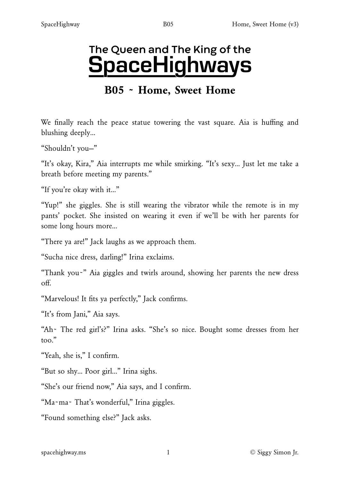# The Queen and The King of the SpaceHighways

# B05 ~ Home, Sweet Home

We finally reach the peace statue towering the vast square. Aia is huffing and blushing deeply…

"Shouldn't you—"

"It's okay, Kira," Aia interrupts me while smirking. "It's sexy… Just let me take a breath before meeting my parents."

"If you're okay with it…"

"Yup!" she giggles. She is still wearing the vibrator while the remote is in my pants' pocket. She insisted on wearing it even if we'll be with her parents for some long hours more…

"There ya are!" Jack laughs as we approach them.

"Sucha nice dress, darling!" Irina exclaims.

"Thank you~" Aia giggles and twirls around, showing her parents the new dress off.

"Marvelous! It fits ya perfectly," Jack confirms.

"It's from Jani," Aia says.

"Ah~ The red girl's?" Irina asks. "She's so nice. Bought some dresses from her too."

"Yeah, she is," I confirm.

"But so shy… Poor girl…" Irina sighs.

"She's our friend now," Aia says, and I confirm.

"Ma~ma~ That's wonderful," Irina giggles.

"Found something else?" Jack asks.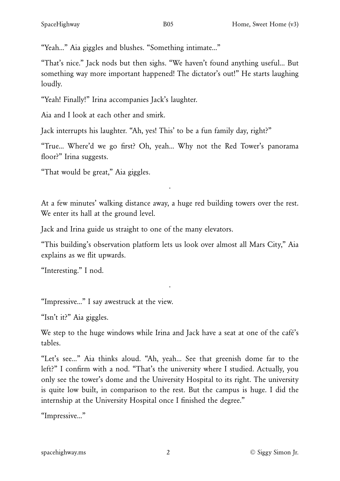"Yeah…" Aia giggles and blushes. "Something intimate…"

"That's nice." Jack nods but then sighs. "We haven't found anything useful… But something way more important happened! The dictator's out!" He starts laughing loudly.

"Yeah! Finally!" Irina accompanies Jack's laughter.

Aia and I look at each other and smirk.

Jack interrupts his laughter. "Ah, yes! This' to be a fun family day, right?"

"True… Where'd we go first? Oh, yeah… Why not the Red Tower's panorama floor?" Irina suggests.

"That would be great," Aia giggles.

At a few minutes' walking distance away, a huge red building towers over the rest. We enter its hall at the ground level.

·

Jack and Irina guide us straight to one of the many elevators.

"This building's observation platform lets us look over almost all Mars City," Aia explains as we flit upwards.

·

"Interesting." I nod.

"Impressive…" I say awestruck at the view.

"Isn't it?" Aia giggles.

We step to the huge windows while Irina and Jack have a seat at one of the café's tables.

"Let's see…" Aia thinks aloud. "Ah, yeah… See that greenish dome far to the left?" I confirm with a nod. "That's the university where I studied. Actually, you only see the tower's dome and the University Hospital to its right. The university is quite low built, in comparison to the rest. But the campus is huge. I did the internship at the University Hospital once I finished the degree."

"Impressive…"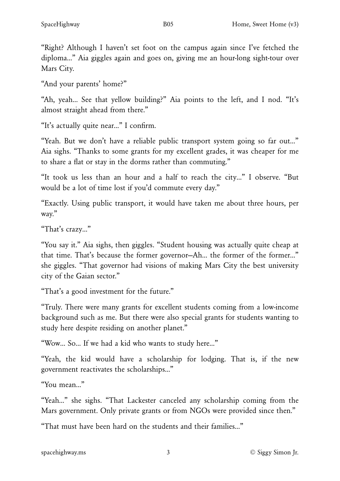"Right? Although I haven't set foot on the campus again since I've fetched the diploma…" Aia giggles again and goes on, giving me an hour-long sight-tour over Mars City.

"And your parents' home?"

"Ah, yeah… See that yellow building?" Aia points to the left, and I nod. "It's almost straight ahead from there."

"It's actually quite near…" I confirm.

"Yeah. But we don't have a reliable public transport system going so far out…" Aia sighs. "Thanks to some grants for my excellent grades, it was cheaper for me to share a flat or stay in the dorms rather than commuting."

"It took us less than an hour and a half to reach the city…" I observe. "But would be a lot of time lost if you'd commute every day."

"Exactly. Using public transport, it would have taken me about three hours, per way."

"That's crazy…"

"You say it." Aia sighs, then giggles. "Student housing was actually quite cheap at that time. That's because the former governor-Ah... the former of the former..." she giggles. "That governor had visions of making Mars City the best university city of the Gaian sector."

"That's a good investment for the future."

"Truly. There were many grants for excellent students coming from a low-income background such as me. But there were also special grants for students wanting to study here despite residing on another planet."

"Wow… So… If we had a kid who wants to study here…"

"Yeah, the kid would have a scholarship for lodging. That is, if the new government reactivates the scholarships…"

"You mean…"

"Yeah…" she sighs. "That Lackester canceled any scholarship coming from the Mars government. Only private grants or from NGOs were provided since then."

"That must have been hard on the students and their families…"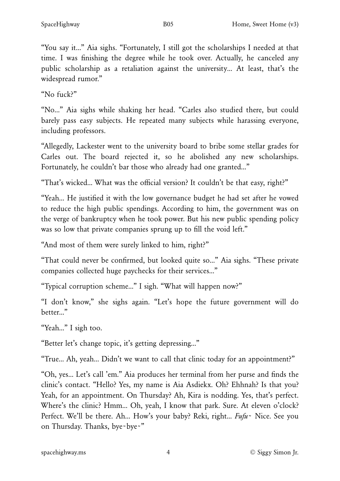"You say it..." Aia sighs. "Fortunately, I still got the scholarships I needed at that time. I was finishing the degree while he took over. Actually, he canceled any public scholarship as a retaliation against the university… At least, that's the widespread rumor."

"No fuck?"

"No…" Aia sighs while shaking her head. "Carles also studied there, but could barely pass easy subjects. He repeated many subjects while harassing everyone, including professors.

"Allegedly, Lackester went to the university board to bribe some stellar grades for Carles out. The board rejected it, so he abolished any new scholarships. Fortunately, he couldn't bar those who already had one granted..."

"That's wicked… What was the official version? It couldn't be that easy, right?"

"Yeah… He justified it with the low governance budget he had set after he vowed to reduce the high public spendings. According to him, the government was on the verge of bankruptcy when he took power. But his new public spending policy was so low that private companies sprung up to fill the void left."

"And most of them were surely linked to him, right?"

"That could never be confirmed, but looked quite so…" Aia sighs. "These private companies collected huge paychecks for their services…"

"Typical corruption scheme…" I sigh. "What will happen now?"

"I don't know," she sighs again. "Let's hope the future government will do better…"

"Yeah…" I sigh too.

"Better let's change topic, it's getting depressing…"

"True… Ah, yeah… Didn't we want to call that clinic today for an appointment?"

"Oh, yes… Let's call 'em." Aia produces her terminal from her purse and finds the clinic's contact. "Hello? Yes, my name is Aia Asdiekx. Oh? Ehhnah? Is that you? Yeah, for an appointment. On Thursday? Ah, Kira is nodding. Yes, that's perfect. Where's the clinic? Hmm… Oh, yeah, I know that park. Sure. At eleven o'clock? Perfect. We'll be there. Ah… How's your baby? Reki, right… *Fufu*~ Nice. See you on Thursday. Thanks, bye~bye~"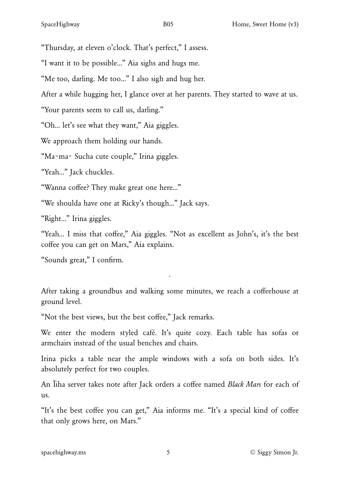"Thursday, at eleven o'clock. That's perfect," I assess.

"I want it to be possible…" Aia sighs and hugs me.

"Me too, darling. Me too…" I also sigh and hug her.

After a while hugging her, I glance over at her parents. They started to wave at us.

"Your parents seem to call us, darling."

"Oh… let's see what they want," Aia giggles.

We approach them holding our hands.

"Ma~ma~ Sucha cute couple," Irina giggles.

"Yeah…" Jack chuckles.

"Wanna coffee? They make great one here…"

"We shoulda have one at Ricky's though…" Jack says.

"Right…" Irina giggles.

"Yeah… I miss that coffee," Aia giggles. "Not as excellent as John's, it's the best coffee you can get on Mars," Aia explains.

"Sounds great," I confirm.

After taking a groundbus and walking some minutes, we reach a coffeehouse at ground level.

·

"Not the best views, but the best coffee," Jack remarks.

We enter the modern styled café. It's quite cozy. Each table has sofas or armchairs instead of the usual benches and chairs.

Irina picks a table near the ample windows with a sofa on both sides. It's absolutely perfect for two couples.

An Ïiha server takes note after Jack orders a coffee named *Black Mars* for each of us.

"It's the best coffee you can get," Aia informs me. "It's a special kind of coffee that only grows here, on Mars."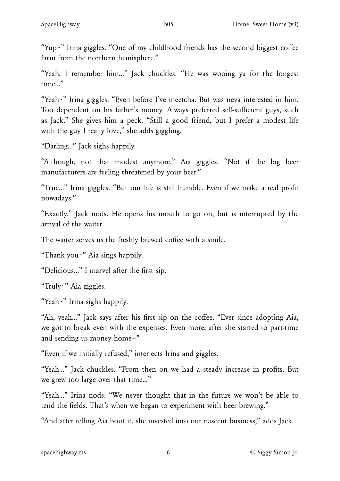"Yup~" Irina giggles. "One of my childhood friends has the second biggest coffee farm from the northern hemisphere."

"Yeah, I remember him…" Jack chuckles. "He was wooing ya for the longest time…"

"Yeah~" Irina giggles. "Even before I've meetcha. But was neva interested in him. Too dependent on his father's money. Always preferred self-sufficient guys, such as Jack." She gives him a peck. "Still a good friend, but I prefer a modest life with the guy I really love," she adds giggling.

"Darling…" Jack sighs happily.

"Although, not that modest anymore," Aia giggles. "Not if the big beer manufacturers are feeling threatened by your beer."

"True…" Irina giggles. "But our life is still humble. Even if we make a real profit nowadays."

"Exactly." Jack nods. He opens his mouth to go on, but is interrupted by the arrival of the waiter.

The waiter serves us the freshly brewed coffee with a smile.

"Thank you~" Aia sings happily.

"Delicious…" I marvel after the first sip.

"Truly~" Aia giggles.

"Yeah~" Irina sighs happily.

"Ah, yeah…" Jack says after his first sip on the coffee. "Ever since adopting Aia, we got to break even with the expenses. Even more, after she started to part-time and sending us money home—"

"Even if we initially refused," interjects Irina and giggles.

"Yeah…" Jack chuckles. "From then on we had a steady increase in profits. But we grew too large over that time…"

"Yeah…" Irina nods. "We never thought that in the future we won't be able to tend the fields. That's when we began to experiment with beer brewing."

"And after telling Aia bout it, she invested into our nascent business," adds Jack.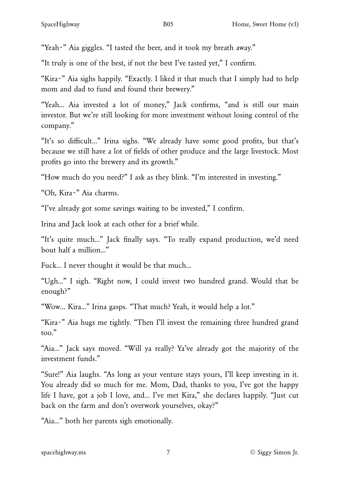"Yeah~" Aia giggles. "I tasted the beer, and it took my breath away."

"It truly is one of the best, if not the best I've tasted yet," I confirm.

"Kira~" Aia sighs happily. "Exactly. I liked it that much that I simply had to help mom and dad to fund and found their brewery."

"Yeah… Aia invested a lot of money," Jack confirms, "and is still our main investor. But we're still looking for more investment without losing control of the company."

"It's so difficult…" Irina sighs. "We already have some good profits, but that's because we still have a lot of fields of other produce and the large livestock. Most profits go into the brewery and its growth."

"How much do you need?" I ask as they blink. "I'm interested in investing."

"Oh, Kira~" Aia charms.

"I've already got some savings waiting to be invested," I confirm.

Irina and Jack look at each other for a brief while.

"It's quite much…" Jack finally says. "To really expand production, we'd need bout half a million…"

Fuck… I never thought it would be that much…

"Ugh…" I sigh. "Right now, I could invest two hundred grand. Would that be enough?"

"Wow… Kira…" Irina gasps. "That much? Yeah, it would help a lot."

"Kira~" Aia hugs me tightly. "Then I'll invest the remaining three hundred grand too."

"Aia…" Jack says moved. "Will ya really? Ya've already got the majority of the investment funds."

"Sure!" Aia laughs. "As long as your venture stays yours, I'll keep investing in it. You already did so much for me. Mom, Dad, thanks to you, I've got the happy life I have, got a job I love, and… I've met Kira," she declares happily. "Just cut back on the farm and don't overwork yourselves, okay?"

"Aia…" both her parents sigh emotionally.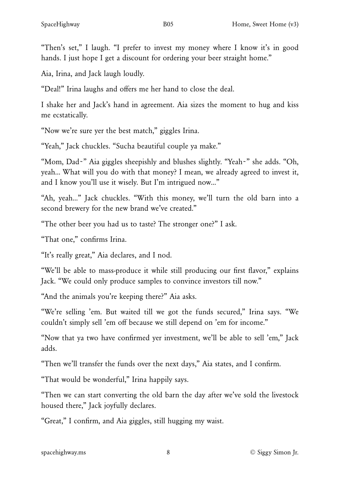"Then's set," I laugh. "I prefer to invest my money where I know it's in good hands. I just hope I get a discount for ordering your beer straight home."

Aia, Irina, and Jack laugh loudly.

"Deal!" Irina laughs and offers me her hand to close the deal.

I shake her and Jack's hand in agreement. Aia sizes the moment to hug and kiss me ecstatically.

"Now we're sure yer the best match," giggles Irina.

"Yeah," Jack chuckles. "Sucha beautiful couple ya make."

"Mom, Dad~" Aia giggles sheepishly and blushes slightly. "Yeah~" she adds. "Oh, yeah… What will you do with that money? I mean, we already agreed to invest it, and I know you'll use it wisely. But I'm intrigued now…"

"Ah, yeah…" Jack chuckles. "With this money, we'll turn the old barn into a second brewery for the new brand we've created."

"The other beer you had us to taste? The stronger one?" I ask.

"That one," confirms Irina.

"It's really great," Aia declares, and I nod.

"We'll be able to mass-produce it while still producing our first flavor," explains Jack. "We could only produce samples to convince investors till now."

"And the animals you're keeping there?" Aia asks.

"We're selling 'em. But waited till we got the funds secured," Irina says. "We couldn't simply sell 'em off because we still depend on 'em for income."

"Now that ya two have confirmed yer investment, we'll be able to sell 'em," Jack adds.

"Then we'll transfer the funds over the next days," Aia states, and I confirm.

"That would be wonderful," Irina happily says.

"Then we can start converting the old barn the day after we've sold the livestock housed there," Jack joyfully declares.

"Great," I confirm, and Aia giggles, still hugging my waist.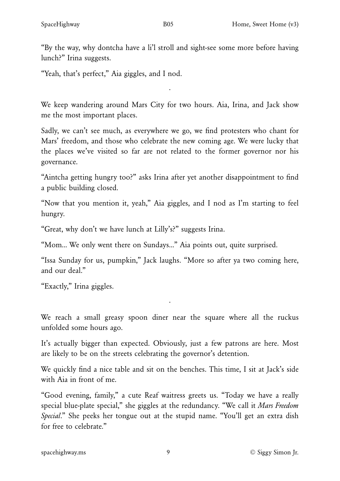"By the way, why dontcha have a li'l stroll and sight-see some more before having lunch?" Irina suggests.

"Yeah, that's perfect," Aia giggles, and I nod.

We keep wandering around Mars City for two hours. Aia, Irina, and Jack show me the most important places.

·

Sadly, we can't see much, as everywhere we go, we find protesters who chant for Mars' freedom, and those who celebrate the new coming age. We were lucky that the places we've visited so far are not related to the former governor nor his governance.

"Aintcha getting hungry too?" asks Irina after yet another disappointment to find a public building closed.

"Now that you mention it, yeah," Aia giggles, and I nod as I'm starting to feel hungry.

"Great, why don't we have lunch at Lilly's?" suggests Irina.

"Mom… We only went there on Sundays…" Aia points out, quite surprised.

"Issa Sunday for us, pumpkin," Jack laughs. "More so after ya two coming here, and our deal."

"Exactly," Irina giggles.

We reach a small greasy spoon diner near the square where all the ruckus unfolded some hours ago.

·

It's actually bigger than expected. Obviously, just a few patrons are here. Most are likely to be on the streets celebrating the governor's detention.

We quickly find a nice table and sit on the benches. This time, I sit at Jack's side with Aia in front of me.

"Good evening, family," a cute Reaf waitress greets us. "Today we have a really special blue-plate special," she giggles at the redundancy. "We call it *Mars Freedom Special*." She peeks her tongue out at the stupid name. "You'll get an extra dish for free to celebrate."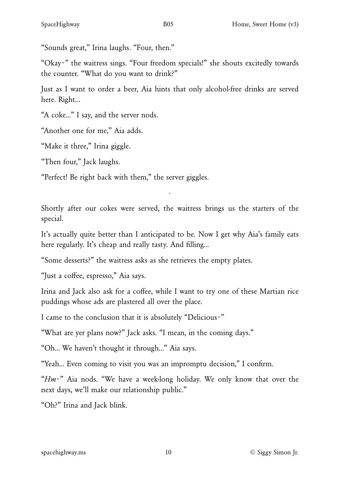"Sounds great," Irina laughs. "Four, then."

"Okay~" the waitress sings. "Four freedom specials!" she shouts excitedly towards the counter. "What do you want to drink?"

Just as I want to order a beer, Aia hints that only alcohol-free drinks are served here. Right…

"A coke…" I say, and the server nods.

"Another one for me," Aia adds.

"Make it three," Irina giggle.

"Then four," Jack laughs.

"Perfect! Be right back with them," the server giggles.

Shortly after our cokes were served, the waitress brings us the starters of the special.

·

It's actually quite better than I anticipated to be. Now I get why Aia's family eats here regularly. It's cheap and really tasty. And filling…

"Some desserts?" the waitress asks as she retrieves the empty plates.

"Just a coffee, espresso," Aia says.

Irina and Jack also ask for a coffee, while I want to try one of these Martian rice puddings whose ads are plastered all over the place.

I came to the conclusion that it is absolutely "Delicious~"

"What are yer plans now?" Jack asks. "I mean, in the coming days."

"Oh… We haven't thought it through…" Aia says.

"Yeah… Even coming to visit you was an impromptu decision," I confirm.

"*Hm*~" Aia nods. "We have a week-long holiday. We only know that over the next days, we'll make our relationship public."

"Oh?" Irina and Jack blink.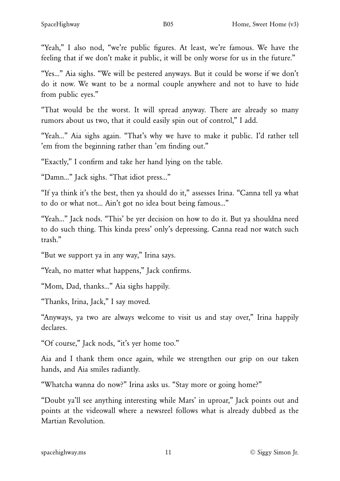"Yeah," I also nod, "we're public figures. At least, we're famous. We have the feeling that if we don't make it public, it will be only worse for us in the future."

"Yes…" Aia sighs. "We will be pestered anyways. But it could be worse if we don't do it now. We want to be a normal couple anywhere and not to have to hide from public eyes."

"That would be the worst. It will spread anyway. There are already so many rumors about us two, that it could easily spin out of control," I add.

"Yeah…" Aia sighs again. "That's why we have to make it public. I'd rather tell 'em from the beginning rather than 'em finding out."

"Exactly," I confirm and take her hand lying on the table.

"Damn…" Jack sighs. "That idiot press…"

"If ya think it's the best, then ya should do it," assesses Irina. "Canna tell ya what to do or what not… Ain't got no idea bout being famous…"

"Yeah…" Jack nods. "This' be yer decision on how to do it. But ya shouldna need to do such thing. This kinda press' only's depressing. Canna read nor watch such trash."

"But we support ya in any way," Irina says.

"Yeah, no matter what happens," Jack confirms.

"Mom, Dad, thanks…" Aia sighs happily.

"Thanks, Irina, Jack," I say moved.

"Anyways, ya two are always welcome to visit us and stay over," Irina happily declares.

"Of course," Jack nods, "it's yer home too."

Aia and I thank them once again, while we strengthen our grip on our taken hands, and Aia smiles radiantly.

"Whatcha wanna do now?" Irina asks us. "Stay more or going home?"

"Doubt ya'll see anything interesting while Mars' in uproar," Jack points out and points at the videowall where a newsreel follows what is already dubbed as the Martian Revolution.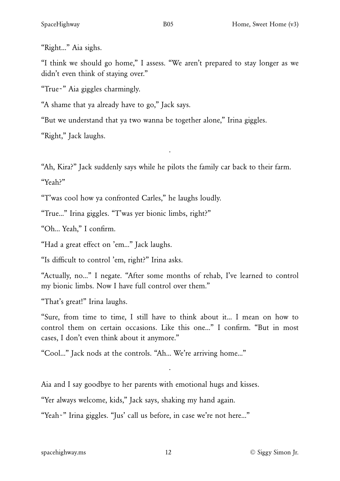"Right…" Aia sighs.

"I think we should go home," I assess. "We aren't prepared to stay longer as we didn't even think of staying over."

"True~" Aia giggles charmingly.

"A shame that ya already have to go," Jack says.

"But we understand that ya two wanna be together alone," Irina giggles.

"Right," Jack laughs.

"Ah, Kira?" Jack suddenly says while he pilots the family car back to their farm.

·

"Yeah?"

"T'was cool how ya confronted Carles," he laughs loudly.

"True…" Irina giggles. "T'was yer bionic limbs, right?"

"Oh… Yeah," I confirm.

"Had a great effect on 'em…" Jack laughs.

"Is difficult to control 'em, right?" Irina asks.

"Actually, no…" I negate. "After some months of rehab, I've learned to control my bionic limbs. Now I have full control over them."

"That's great!" Irina laughs.

"Sure, from time to time, I still have to think about it… I mean on how to control them on certain occasions. Like this one…" I confirm. "But in most cases, I don't even think about it anymore."

·

"Cool…" Jack nods at the controls. "Ah… We're arriving home…"

Aia and I say goodbye to her parents with emotional hugs and kisses.

"Yer always welcome, kids," Jack says, shaking my hand again.

"Yeah~" Irina giggles. "Jus' call us before, in case we're not here…"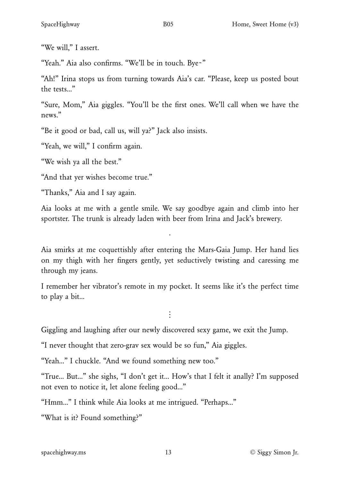"We will," I assert.

"Yeah." Aia also confirms. "We'll be in touch. Bye~"

"Ah!" Irina stops us from turning towards Aia's car. "Please, keep us posted bout the tests…"

"Sure, Mom," Aia giggles. "You'll be the first ones. We'll call when we have the news."

"Be it good or bad, call us, will ya?" Jack also insists.

"Yeah, we will," I confirm again.

"We wish ya all the best."

"And that yer wishes become true."

"Thanks," Aia and I say again.

Aia looks at me with a gentle smile. We say goodbye again and climb into her sportster. The trunk is already laden with beer from Irina and Jack's brewery.

·

Aia smirks at me coquettishly after entering the Mars-Gaia Jump. Her hand lies on my thigh with her fingers gently, yet seductively twisting and caressing me through my jeans.

I remember her vibrator's remote in my pocket. It seems like it's the perfect time to play a bit…

 $\ddot{\cdot}$ 

Giggling and laughing after our newly discovered sexy game, we exit the Jump.

"I never thought that zero-grav sex would be so fun," Aia giggles.

"Yeah…" I chuckle. "And we found something new too."

"True… But…" she sighs, "I don't get it… How's that I felt it anally? I'm supposed not even to notice it, let alone feeling good…"

"Hmm…" I think while Aia looks at me intrigued. "Perhaps…"

"What is it? Found something?"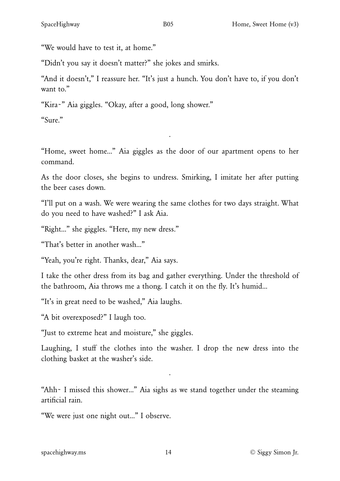"We would have to test it, at home."

"Didn't you say it doesn't matter?" she jokes and smirks.

"And it doesn't," I reassure her. "It's just a hunch. You don't have to, if you don't want to."

"Kira~" Aia giggles. "Okay, after a good, long shower."

"Sure."

"Home, sweet home…" Aia giggles as the door of our apartment opens to her command.

·

As the door closes, she begins to undress. Smirking, I imitate her after putting the beer cases down.

"I'll put on a wash. We were wearing the same clothes for two days straight. What do you need to have washed?" I ask Aia.

"Right…" she giggles. "Here, my new dress."

"That's better in another wash…"

"Yeah, you're right. Thanks, dear," Aia says.

I take the other dress from its bag and gather everything. Under the threshold of the bathroom, Aia throws me a thong. I catch it on the fly. It's humid…

"It's in great need to be washed," Aia laughs.

"A bit overexposed?" I laugh too.

"Just to extreme heat and moisture," she giggles.

Laughing, I stuff the clothes into the washer. I drop the new dress into the clothing basket at the washer's side.

"Ahh~ I missed this shower…" Aia sighs as we stand together under the steaming artificial rain.

·

"We were just one night out…" I observe.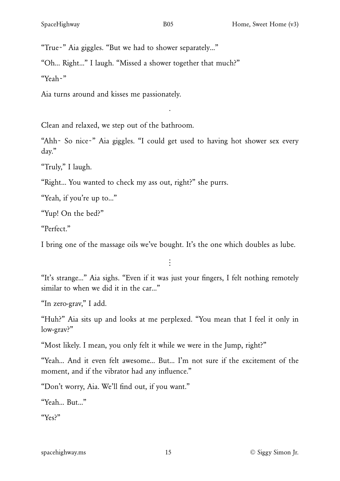"Oh… Right…" I laugh. "Missed a shower together that much?"

"Yeah~"

Aia turns around and kisses me passionately.

Clean and relaxed, we step out of the bathroom.

"Ahh~ So nice~" Aia giggles. "I could get used to having hot shower sex every day."

·

"Truly," I laugh.

"Right… You wanted to check my ass out, right?" she purrs.

"Yeah, if you're up to…"

"Yup! On the bed?"

"Perfect."

I bring one of the massage oils we've bought. It's the one which doubles as lube.

 $\vdots$ 

"It's strange…" Aia sighs. "Even if it was just your fingers, I felt nothing remotely similar to when we did it in the car..."

"In zero-grav," I add.

"Huh?" Aia sits up and looks at me perplexed. "You mean that I feel it only in low-grav?"

"Most likely. I mean, you only felt it while we were in the Jump, right?"

"Yeah… And it even felt awesome… But… I'm not sure if the excitement of the moment, and if the vibrator had any influence."

"Don't worry, Aia. We'll find out, if you want."

"Yeah… But…"

"Yes?"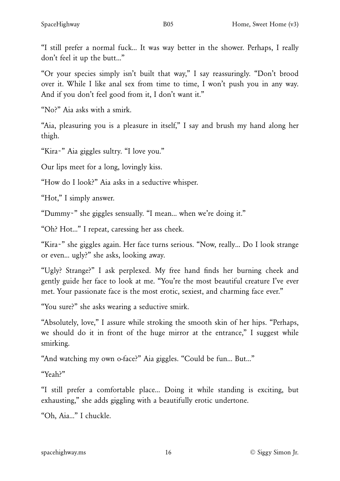"I still prefer a normal fuck… It was way better in the shower. Perhaps, I really don't feel it up the butt…"

"Or your species simply isn't built that way," I say reassuringly. "Don't brood over it. While I like anal sex from time to time, I won't push you in any way. And if you don't feel good from it, I don't want it."

"No?" Aia asks with a smirk.

"Aia, pleasuring you is a pleasure in itself," I say and brush my hand along her thigh.

"Kira~" Aia giggles sultry. "I love you."

Our lips meet for a long, lovingly kiss.

"How do I look?" Aia asks in a seductive whisper.

"Hot," I simply answer.

"Dummy~" she giggles sensually. "I mean… when we're doing it."

"Oh? Hot…" I repeat, caressing her ass cheek.

"Kira~" she giggles again. Her face turns serious. "Now, really… Do I look strange or even… ugly?" she asks, looking away.

"Ugly? Strange?" I ask perplexed. My free hand finds her burning cheek and gently guide her face to look at me. "You're the most beautiful creature I've ever met. Your passionate face is the most erotic, sexiest, and charming face ever."

"You sure?" she asks wearing a seductive smirk.

"Absolutely, love," I assure while stroking the smooth skin of her hips. "Perhaps, we should do it in front of the huge mirror at the entrance," I suggest while smirking.

"And watching my own o-face?" Aia giggles. "Could be fun… But…"

"Yeah?"

"I still prefer a comfortable place… Doing it while standing is exciting, but exhausting," she adds giggling with a beautifully erotic undertone.

"Oh, Aia…" I chuckle.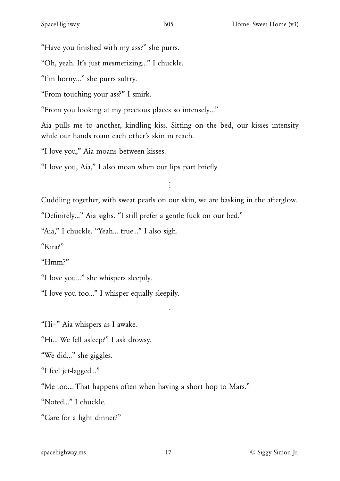"Have you finished with my ass?" she purrs.

"Oh, yeah. It's just mesmerizing…" I chuckle.

"I'm horny…" she purrs sultry.

"From touching your ass?" I smirk.

"From you looking at my precious places so intensely…"

Aia pulls me to another, kindling kiss. Sitting on the bed, our kisses intensity while our hands roam each other's skin in reach.

"I love you," Aia moans between kisses.

"I love you, Aia," I also moan when our lips part briefly.

 $\ddot{\cdot}$ 

Cuddling together, with sweat pearls on our skin, we are basking in the afterglow.

·

"Definitely…" Aia sighs. "I still prefer a gentle fuck on our bed."

"Aia," I chuckle. "Yeah… true…" I also sigh.

"Kira?"

"Hmm?"

"I love you…" she whispers sleepily.

"I love you too…" I whisper equally sleepily.

"Hi~" Aia whispers as I awake.

"Hi… We fell asleep?" I ask drowsy.

"We did…" she giggles.

"I feel jet-lagged…"

"Me too… That happens often when having a short hop to Mars."

"Noted…" I chuckle.

"Care for a light dinner?"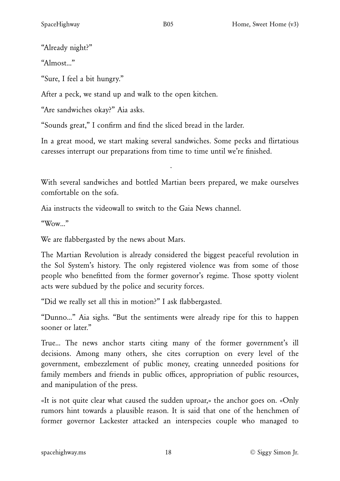"Already night?"

"Almost…"

"Sure, I feel a bit hungry."

After a peck, we stand up and walk to the open kitchen.

"Are sandwiches okay?" Aia asks.

"Sounds great," I confirm and find the sliced bread in the larder.

In a great mood, we start making several sandwiches. Some pecks and flirtatious caresses interrupt our preparations from time to time until we're finished.

With several sandwiches and bottled Martian beers prepared, we make ourselves comfortable on the sofa.

·

Aia instructs the videowall to switch to the Gaia News channel.

" $W<sub>OW</sub>$ "

We are flabbergasted by the news about Mars.

The Martian Revolution is already considered the biggest peaceful revolution in the Sol System's history. The only registered violence was from some of those people who benefitted from the former governor's regime. Those spotty violent acts were subdued by the police and security forces.

"Did we really set all this in motion?" I ask flabbergasted.

"Dunno…" Aia sighs. "But the sentiments were already ripe for this to happen sooner or later."

True… The news anchor starts citing many of the former government's ill decisions. Among many others, she cites corruption on every level of the government, embezzlement of public money, creating unneeded positions for family members and friends in public offices, appropriation of public resources, and manipulation of the press.

«It is not quite clear what caused the sudden uproar,» the anchor goes on. «Only rumors hint towards a plausible reason. It is said that one of the henchmen of former governor Lackester attacked an interspecies couple who managed to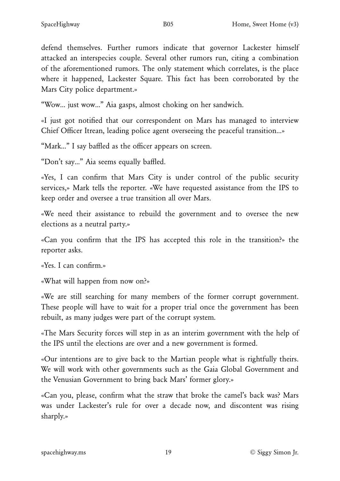defend themselves. Further rumors indicate that governor Lackester himself attacked an interspecies couple. Several other rumors run, citing a combination of the aforementioned rumors. The only statement which correlates, is the place where it happened, Lackester Square. This fact has been corroborated by the Mars City police department.»

"Wow… just wow…" Aia gasps, almost choking on her sandwich.

«I just got notified that our correspondent on Mars has managed to interview Chief Officer Itrean, leading police agent overseeing the peaceful transition…»

"Mark…" I say baffled as the officer appears on screen.

"Don't say…" Aia seems equally baffled.

«Yes, I can confirm that Mars City is under control of the public security services,» Mark tells the reporter. «We have requested assistance from the IPS to keep order and oversee a true transition all over Mars.

«We need their assistance to rebuild the government and to oversee the new elections as a neutral party.»

«Can you confirm that the IPS has accepted this role in the transition?» the reporter asks.

«Yes. I can confirm.»

«What will happen from now on?»

«We are still searching for many members of the former corrupt government. These people will have to wait for a proper trial once the government has been rebuilt, as many judges were part of the corrupt system.

«The Mars Security forces will step in as an interim government with the help of the IPS until the elections are over and a new government is formed.

«Our intentions are to give back to the Martian people what is rightfully theirs. We will work with other governments such as the Gaia Global Government and the Venusian Government to bring back Mars' former glory.»

«Can you, please, confirm what the straw that broke the camel's back was? Mars was under Lackester's rule for over a decade now, and discontent was rising sharply.»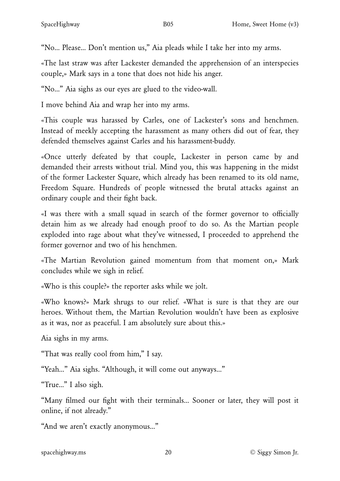"No… Please… Don't mention us," Aia pleads while I take her into my arms.

«The last straw was after Lackester demanded the apprehension of an interspecies couple,» Mark says in a tone that does not hide his anger.

"No…" Aia sighs as our eyes are glued to the video-wall.

I move behind Aia and wrap her into my arms.

«This couple was harassed by Carles, one of Lackester's sons and henchmen. Instead of meekly accepting the harassment as many others did out of fear, they defended themselves against Carles and his harassment-buddy.

«Once utterly defeated by that couple, Lackester in person came by and demanded their arrests without trial. Mind you, this was happening in the midst of the former Lackester Square, which already has been renamed to its old name, Freedom Square. Hundreds of people witnessed the brutal attacks against an ordinary couple and their fight back.

«I was there with a small squad in search of the former governor to officially detain him as we already had enough proof to do so. As the Martian people exploded into rage about what they've witnessed, I proceeded to apprehend the former governor and two of his henchmen.

«The Martian Revolution gained momentum from that moment on,» Mark concludes while we sigh in relief.

«Who is this couple?» the reporter asks while we jolt.

«Who knows?» Mark shrugs to our relief. «What is sure is that they are our heroes. Without them, the Martian Revolution wouldn't have been as explosive as it was, nor as peaceful. I am absolutely sure about this.»

Aia sighs in my arms.

"That was really cool from him," I say.

"Yeah…" Aia sighs. "Although, it will come out anyways…"

"True…" I also sigh.

"Many filmed our fight with their terminals… Sooner or later, they will post it online, if not already."

"And we aren't exactly anonymous…"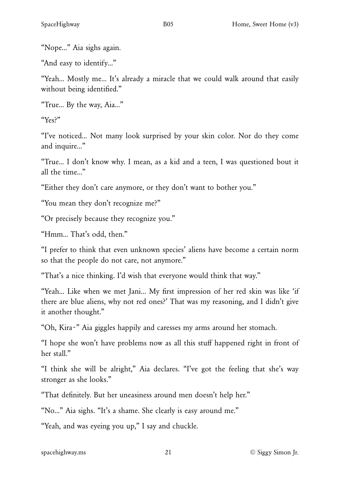"Nope…" Aia sighs again.

"And easy to identify…"

"Yeah… Mostly me… It's already a miracle that we could walk around that easily without being identified."

"True… By the way, Aia…"

"Yes?"

"I've noticed… Not many look surprised by your skin color. Nor do they come and inquire…"

"True… I don't know why. I mean, as a kid and a teen, I was questioned bout it all the time…"

"Either they don't care anymore, or they don't want to bother you."

"You mean they don't recognize me?"

"Or precisely because they recognize you."

"Hmm… That's odd, then."

"I prefer to think that even unknown species' aliens have become a certain norm so that the people do not care, not anymore."

"That's a nice thinking. I'd wish that everyone would think that way."

"Yeah… Like when we met Jani… My first impression of her red skin was like 'if there are blue aliens, why not red ones?' That was my reasoning, and I didn't give it another thought."

"Oh, Kira~" Aia giggles happily and caresses my arms around her stomach.

"I hope she won't have problems now as all this stuff happened right in front of her stall."

"I think she will be alright," Aia declares. "I've got the feeling that she's way stronger as she looks."

"That definitely. But her uneasiness around men doesn't help her."

"No…" Aia sighs. "It's a shame. She clearly is easy around me."

"Yeah, and was eyeing you up," I say and chuckle.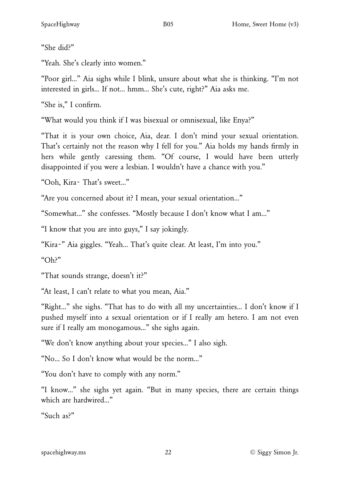"She did?"

"Yeah. She's clearly into women."

"Poor girl…" Aia sighs while I blink, unsure about what she is thinking. "I'm not interested in girls… If not… hmm… She's cute, right?" Aia asks me.

"She is," I confirm.

"What would you think if I was bisexual or omnisexual, like Enya?"

"That it is your own choice, Aia, dear. I don't mind your sexual orientation. That's certainly not the reason why I fell for you." Aia holds my hands firmly in hers while gently caressing them. "Of course, I would have been utterly disappointed if you were a lesbian. I wouldn't have a chance with you."

"Ooh, Kira~ That's sweet…"

"Are you concerned about it? I mean, your sexual orientation…"

"Somewhat…" she confesses. "Mostly because I don't know what I am…"

"I know that you are into guys," I say jokingly.

"Kira~" Aia giggles. "Yeah… That's quite clear. At least, I'm into you."

"Oh?"

"That sounds strange, doesn't it?"

"At least, I can't relate to what you mean, Aia."

"Right…" she sighs. "That has to do with all my uncertainties… I don't know if I pushed myself into a sexual orientation or if I really am hetero. I am not even sure if I really am monogamous…" she sighs again.

"We don't know anything about your species…" I also sigh.

"No… So I don't know what would be the norm…"

"You don't have to comply with any norm."

"I know…" she sighs yet again. "But in many species, there are certain things which are hardwired…"

"Such as?"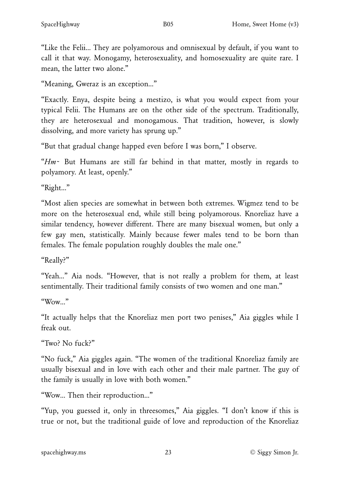"Like the Felii… They are polyamorous and omnisexual by default, if you want to call it that way. Monogamy, heterosexuality, and homosexuality are quite rare. I mean, the latter two alone."

"Meaning, Gweraz is an exception…"

"Exactly. Enya, despite being a mestizo, is what you would expect from your typical Felii. The Humans are on the other side of the spectrum. Traditionally, they are heterosexual and monogamous. That tradition, however, is slowly dissolving, and more variety has sprung up."

"But that gradual change happed even before I was born," I observe.

"*Hm*~ But Humans are still far behind in that matter, mostly in regards to polyamory. At least, openly."

"Right…"

"Most alien species are somewhat in between both extremes. Wigmez tend to be more on the heterosexual end, while still being polyamorous. Knoreliaz have a similar tendency, however different. There are many bisexual women, but only a few gay men, statistically. Mainly because fewer males tend to be born than females. The female population roughly doubles the male one."

"Really?"

"Yeah…" Aia nods. "However, that is not really a problem for them, at least sentimentally. Their traditional family consists of two women and one man."

 $"W<sub>OW</sub>$ .

"It actually helps that the Knoreliaz men port two penises," Aia giggles while I freak out.

"Two? No fuck?"

"No fuck," Aia giggles again. "The women of the traditional Knoreliaz family are usually bisexual and in love with each other and their male partner. The guy of the family is usually in love with both women."

"Wow… Then their reproduction…"

"Yup, you guessed it, only in threesomes," Aia giggles. "I don't know if this is true or not, but the traditional guide of love and reproduction of the Knoreliaz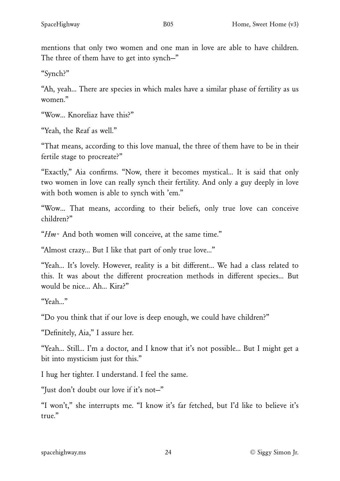mentions that only two women and one man in love are able to have children. The three of them have to get into synch—"

"Synch?"

"Ah, yeah… There are species in which males have a similar phase of fertility as us women."

"Wow… Knoreliaz have this?"

"Yeah, the Reaf as well."

"That means, according to this love manual, the three of them have to be in their fertile stage to procreate?"

"Exactly," Aia confirms. "Now, there it becomes mystical… It is said that only two women in love can really synch their fertility. And only a guy deeply in love with both women is able to synch with 'em."

"Wow… That means, according to their beliefs, only true love can conceive children?"

"*Hm*~ And both women will conceive, at the same time."

"Almost crazy... But I like that part of only true love…"

"Yeah… It's lovely. However, reality is a bit different… We had a class related to this. It was about the different procreation methods in different species… But would be nice… Ah… Kira?"

"Yeah…"

"Do you think that if our love is deep enough, we could have children?"

"Definitely, Aia," I assure her.

"Yeah… Still… I'm a doctor, and I know that it's not possible… But I might get a bit into mysticism just for this."

I hug her tighter. I understand. I feel the same.

"Just don't doubt our love if it's not—"

"I won't," she interrupts me. "I know it's far fetched, but I'd like to believe it's true."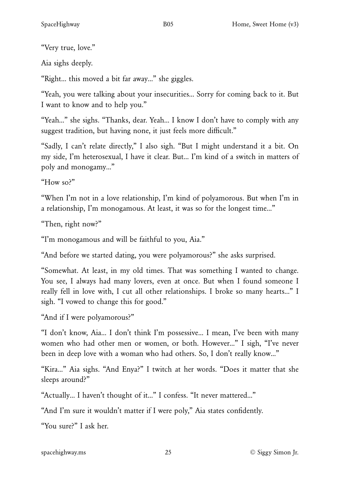"Very true, love."

Aia sighs deeply.

"Right… this moved a bit far away…" she giggles.

"Yeah, you were talking about your insecurities… Sorry for coming back to it. But I want to know and to help you."

"Yeah…" she sighs. "Thanks, dear. Yeah… I know I don't have to comply with any suggest tradition, but having none, it just feels more difficult."

"Sadly, I can't relate directly," I also sigh. "But I might understand it a bit. On my side, I'm heterosexual, I have it clear. But… I'm kind of a switch in matters of poly and monogamy…"

"How so?"

"When I'm not in a love relationship, I'm kind of polyamorous. But when I'm in a relationship, I'm monogamous. At least, it was so for the longest time…"

"Then, right now?"

"I'm monogamous and will be faithful to you, Aia."

"And before we started dating, you were polyamorous?" she asks surprised.

"Somewhat. At least, in my old times. That was something I wanted to change. You see, I always had many lovers, even at once. But when I found someone I really fell in love with, I cut all other relationships. I broke so many hearts…" I sigh. "I vowed to change this for good."

"And if I were polyamorous?"

"I don't know, Aia… I don't think I'm possessive… I mean, I've been with many women who had other men or women, or both. However…" I sigh, "I've never been in deep love with a woman who had others. So, I don't really know…"

"Kira…" Aia sighs. "And Enya?" I twitch at her words. "Does it matter that she sleeps around?"

"Actually… I haven't thought of it…" I confess. "It never mattered…"

"And I'm sure it wouldn't matter if I were poly," Aia states confidently.

"You sure?" I ask her.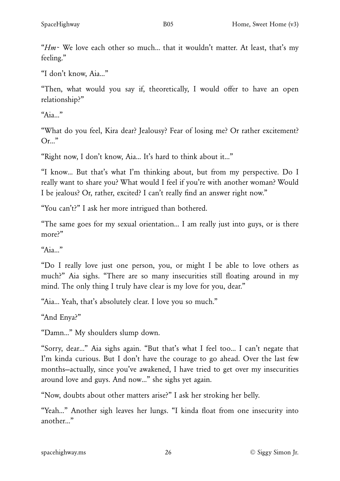"*Hm*~ We love each other so much… that it wouldn't matter. At least, that's my feeling."

"I don't know, Aia…"

"Then, what would you say if, theoretically, I would offer to have an open relationship?"

"Aia…"

"What do you feel, Kira dear? Jealousy? Fear of losing me? Or rather excitement? Or…"

"Right now, I don't know, Aia… It's hard to think about it…"

"I know… But that's what I'm thinking about, but from my perspective. Do I really want to share you? What would I feel if you're with another woman? Would I be jealous? Or, rather, excited? I can't really find an answer right now."

"You can't?" I ask her more intrigued than bothered.

"The same goes for my sexual orientation… I am really just into guys, or is there more?"

 $"A$ ia "

"Do I really love just one person, you, or might I be able to love others as much?" Aia sighs. "There are so many insecurities still floating around in my mind. The only thing I truly have clear is my love for you, dear."

"Aia… Yeah, that's absolutely clear. I love you so much."

"And Enya?"

"Damn…" My shoulders slump down.

"Sorry, dear…" Aia sighs again. "But that's what I feel too… I can't negate that I'm kinda curious. But I don't have the courage to go ahead. Over the last few months—actually, since you've awakened, I have tried to get over my insecurities around love and guys. And now…" she sighs yet again.

"Now, doubts about other matters arise?" I ask her stroking her belly.

"Yeah…" Another sigh leaves her lungs. "I kinda float from one insecurity into another…"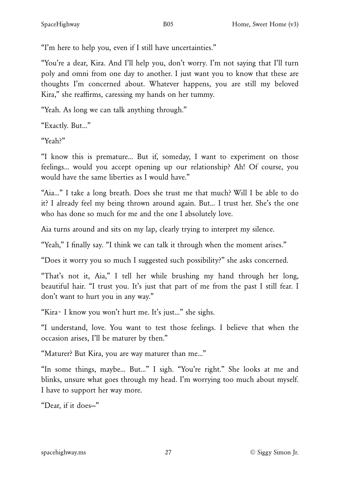"I'm here to help you, even if I still have uncertainties."

"You're a dear, Kira. And I'll help you, don't worry. I'm not saying that I'll turn poly and omni from one day to another. I just want you to know that these are thoughts I'm concerned about. Whatever happens, you are still my beloved Kira," she reaffirms, caressing my hands on her tummy.

"Yeah. As long we can talk anything through."

"Exactly. But…"

"Yeah?"

"I know this is premature… But if, someday, I want to experiment on those feelings… would you accept opening up our relationship? Ah! Of course, you would have the same liberties as I would have."

"Aia…" I take a long breath. Does she trust me that much? Will I be able to do it? I already feel my being thrown around again. But… I trust her. She's the one who has done so much for me and the one I absolutely love.

Aia turns around and sits on my lap, clearly trying to interpret my silence.

"Yeah," I finally say. "I think we can talk it through when the moment arises."

"Does it worry you so much I suggested such possibility?" she asks concerned.

"That's not it, Aia," I tell her while brushing my hand through her long, beautiful hair. "I trust you. It's just that part of me from the past I still fear. I don't want to hurt you in any way."

"Kira~ I know you won't hurt me. It's just…" she sighs.

"I understand, love. You want to test those feelings. I believe that when the occasion arises, I'll be maturer by then."

"Maturer? But Kira, you are way maturer than me…"

"In some things, maybe… But…" I sigh. "You're right." She looks at me and blinks, unsure what goes through my head. I'm worrying too much about myself. I have to support her way more.

"Dear, if it does—"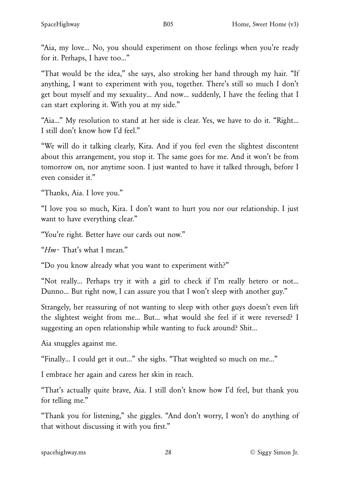"Aia, my love… No, you should experiment on those feelings when you're ready for it. Perhaps, I have too…"

"That would be the idea," she says, also stroking her hand through my hair. "If anything, I want to experiment with you, together. There's still so much I don't get bout myself and my sexuality… And now… suddenly, I have the feeling that I can start exploring it. With you at my side."

"Aia…" My resolution to stand at her side is clear. Yes, we have to do it. "Right… I still don't know how I'd feel."

"We will do it talking clearly, Kira. And if you feel even the slightest discontent about this arrangement, you stop it. The same goes for me. And it won't be from tomorrow on, nor anytime soon. I just wanted to have it talked through, before I even consider it."

"Thanks, Aia. I love you."

"I love you so much, Kira. I don't want to hurt you nor our relationship. I just want to have everything clear."

"You're right. Better have our cards out now."

"*Hm*~ That's what I mean."

"Do you know already what you want to experiment with?"

"Not really… Perhaps try it with a girl to check if I'm really hetero or not… Dunno… But right now, I can assure you that I won't sleep with another guy."

Strangely, her reassuring of not wanting to sleep with other guys doesn't even lift the slightest weight from me… But… what would she feel if it were reversed? I suggesting an open relationship while wanting to fuck around? Shit…

Aia snuggles against me.

"Finally… I could get it out…" she sighs. "That weighted so much on me…"

I embrace her again and caress her skin in reach.

"That's actually quite brave, Aia. I still don't know how I'd feel, but thank you for telling me."

"Thank you for listening," she giggles. "And don't worry, I won't do anything of that without discussing it with you first."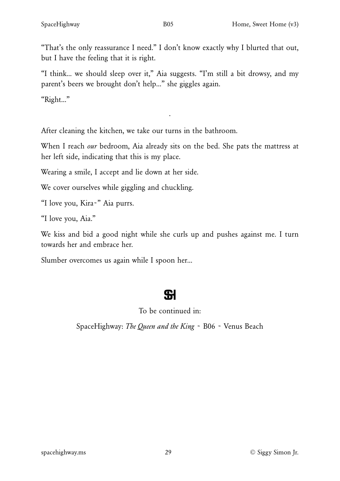"That's the only reassurance I need." I don't know exactly why I blurted that out, but I have the feeling that it is right.

"I think… we should sleep over it," Aia suggests. "I'm still a bit drowsy, and my parent's beers we brought don't help…" she giggles again.

"Right…"

After cleaning the kitchen, we take our turns in the bathroom.

When I reach *our* bedroom, Aia already sits on the bed. She pats the mattress at her left side, indicating that this is my place.

·

Wearing a smile, I accept and lie down at her side.

We cover ourselves while giggling and chuckling.

"I love you, Kira~" Aia purrs.

"I love you, Aia."

We kiss and bid a good night while she curls up and pushes against me. I turn towards her and embrace her.

Slumber overcomes us again while I spoon her…

# **SI**

### To be continued in:

SpaceHighway: *The Queen and the King* ~ B06 ~ Venus Beach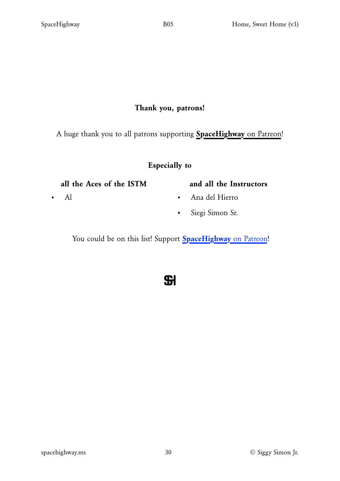#### Thank you, patrons!

A huge thank you to all patrons supporting **[SpaceHighway](https://www.patreon.com/spacehighway)** [on Patreon!](https://www.patreon.com/spacehighway)

#### Especially to

#### all the Aces of the ISTM

• Al

## and all the Instructors

- Ana del Hierro
- Siegi Simon Sr.

You could be on this list! Support **[SpaceHighway](https://www.patreon.com/spacehighway)** [on Patreon!](https://www.patreon.com/spacehighway)

 $S1$